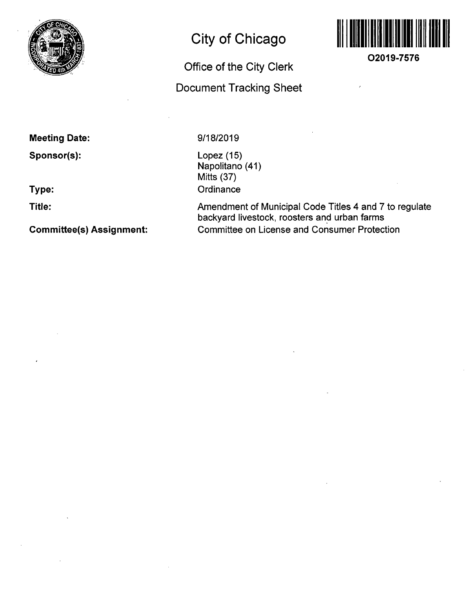

# **City of Chicago**

# **Office of the City Clerk**

# **Document Tracking Sheet**



**O2019-7576** 

**Meeting Date:** 

**Sponsor(s):** 

**Type:** 

**Title:** 

**Committee(s) Assignment:** 

# **9/18/2019**

Lopez (15) Napolitano (41) Mitts (37) **Ordinance** 

Amendment of Municipal Code Titles 4 and 7 to regulate backyard livestock, roosters and urban farms Committee on License and Consumer Protection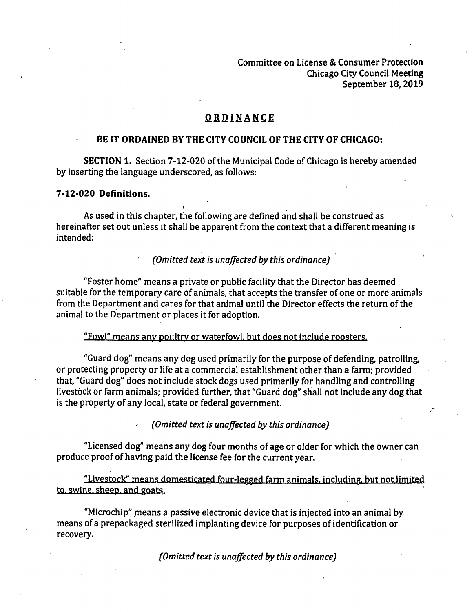Committee on License & Consumer Protection Chicago City Council Meeting September 18,2019

# QRDINANCE

### **BE IT ORDAINED BY THE CITY COUNCIL OF THE CITY OF CHICAGO:**

SECTION 1. Section 7-12-020 of the Municipal Code of Chicago is hereby amended by inserting the language underscored, as follows:

#### **7-12-020 Derinitions.**

As used in this chapter, the following are defmed and shall be construed as hereinafter set out unless it shall be apparent from the context that a different meaning is intended:

# (Omitted text is unaffected by this ordinance)

"Foster home" means a private or public facility that the Director has deemed suitable for the temporary care of animals, that accepts the transfer of one or more animals from the Department and cares for that animal until the Director effects the return of the animal to the Department or places It for adoption.

"Fowl" means anv poultry or waterfowl, hut does not include roosters.

"Guard dog" means any dog used primarily for the purpose of defending, patrolling, or protecting property or life at a commercial establishment other than a farm; provided that, "Guard dog" does not include stock dogs used primarily for handling and controlling livestock or farm animals; provided further, that "Guard dog" shall not include any dog that is the property of any local, state or federal government.

(Omitted text is unaffected by this ordinance)

"Licensed dog" means any dog four months of age or older for which the owner can produce proof of having paid the license fee for the current year.

"Livestock" means domesticated four-legged farm animals, including, but not limited to. swine, sheep, and goats.

"Microchip" means a passive electronic device that is injected into an animal by means of a prepackaged sterilized implanting device for purposes of identification or recovery.

(Omitted text is unaffected by this ordinance)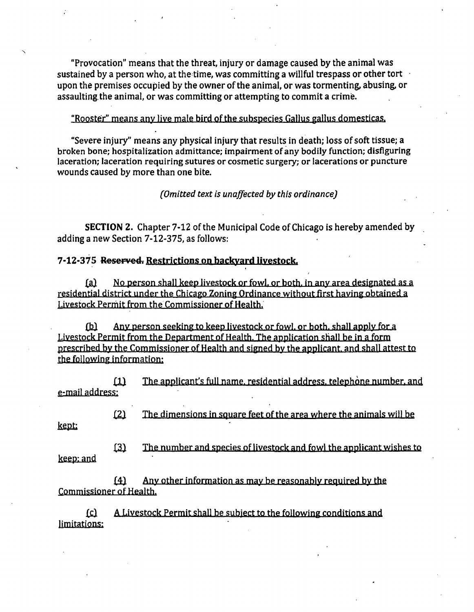"Provocation" means that the threat, injury or damage caused by the animal was sustained by a person who, at the time, was committing a willful trespass or other tort upon the premises occupied by the owner of the animal, or was tormenting, abusing, or assaulting the animal, or was committing or attempting to commit a crime.

#### "Rooster" means any live male bird of the subspecies Gallus gallus domesticas.

"Severe injury" means any physical injury that results in death; loss of soft tissue; a broken bone; hospitalization admittance; impairment of any bodily function; disfiguring laceration; laceration requiring sutures or cosmetic surgery; or lacerations or puncture wounds caused by more than one bite.

*(Omitted text is unaffected by this ordinance)* 

**SECTION 2.** Chapter 7-12 of the Municipal Code of Chicago is hereby amended by adding a new Section 7-12-375, as follows:

### **7-12-375 Rosorvod. Restrictions on backyard livestock.**

(a} No person shall keep livestock or fowl, or both, in anv area designated as a residential district under the Chicago Zoning Ordinance without first having obtained a Livestock Permit from the Commissioner of Health.

{b) Anv person seeking to keep livestock or fowl, or both, shall applv for a Livestock Permit from the Department of Health. The application shall be in a form prescribed by the Commissioner of Health and signed by the applicant, and shall attest to the following information:

£1} The applicant's full name, residential address, telephone number, and e-mail address:

£2) The dimensions in square feet ofthe area where the animals will be

kept:

keep: and

£2) The number and species of livestock and fowl the applicant wishes to keep; and

 $f(4)$  Any other information as may be reasonably required by the Commissioner of Health.

££l A Livestock Permit shall be subject to the following conditions and limitations: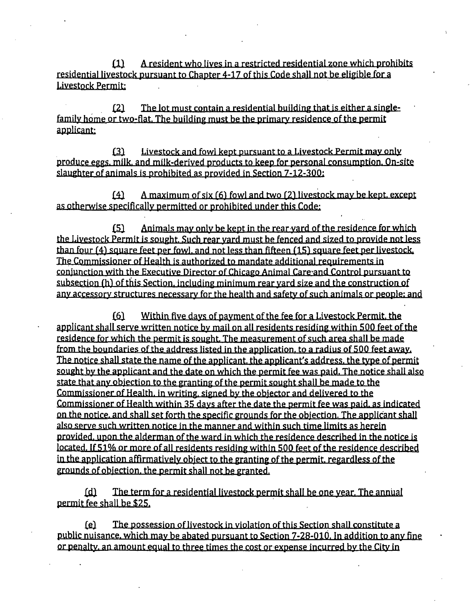$i(1)$  A resident who lives in a restricted residential zone which prohibits residential livestock pursuant to Chapter 4-17 of this Code shall not be eligible for a Livestock Permit:

 $[2]$  The lot must contain a residential building that is either a singlefamily home or two-flat. The building must be the primary residence of the permit applicant:

 $\delta$  Livestock and fowl kept pursuant to a Livestock Permit may only produce eggs, milk, and milk-derived products to keep for personal consumption. On-site slaughter of animals is prohibited as provided in Section  $7-12-300$ :

 $[4]$  A maximum of six (6) fowl and two (2) livestock may be kept, except as otherwise specificallv permitted or prohibited under this Code:

£5} Animals mav only be kept in the rear yard of the residence for which the Livestock Permit is sought. Such rear yard must be fenced and sized to provide not less than four (4) square feet per fowl, and not less than fifteen (15) square feet per livestock. The Commissioner of Health is authorized to mandate additional requirements in coniunction with the Executive Director of Chicago Animal Care and Control pursuant to subsection (h) of this Section, including minimum rear vard size and the construction of anv accessorv structures necessary for the health and safety of such animals or people: and

 $[6]$  Within five days of payment of the fee for a Livestock Permit, the applicant shall serve written notice by mail on all residents residing within 500 feet of the residence for which the permit is sought. The measurement of such area shall be made from the boundaries of the address listed in the application, to a radius of 500 feet away. The notice shall state the name of the applicant, the applicant's address, the type of permit sought bv the applicant and the date on which the permit fee was paid. The notice shall also state that any objection to the granting of the permit sought shall be made to the Commissioner of Health, in writing, signed by the obiector and delivered to the Commissioner of Health within 35 davs after the date the permit fee was paid, as indicated on the notice, and shall set forth the specific grounds for the objection. The applicant shall also serve such written notice in the manner and within such time limits as herein provided, upon the alderman of the ward in which the residence described in the notice is located. If 51% or more of all residents residing within 500 feet of the residence described in the application affirmatively object to the granting of the permit, regardless of the grounds of obiection, the permit shall not be granted.

£dl The term for a residential livestock permit shall be one year. The anniial permit fee shall be \$25.

£fi) The possession of live.stock in violation ofthis Section shall constitute a public nuisance, which mav be abated pursuant to Section 7-28-010. In addition to anv fine or penalty, an amount equal to three times the cost or expense incurred bv the Citv in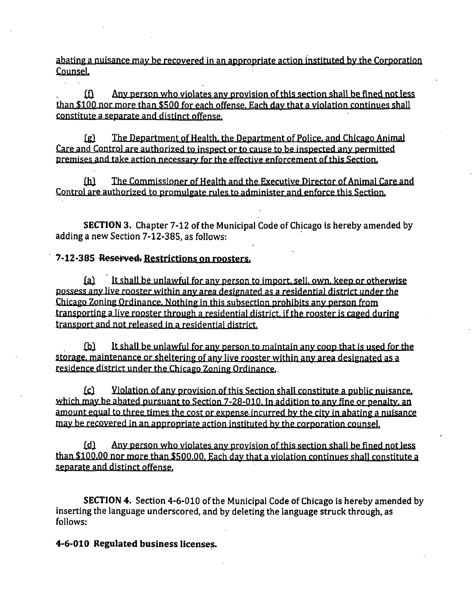abating a nuisance may be recovered in an appropriate action instituted bv the Corporation Counsel.

 $f(x)$  Any person who violates any provision of this section shall be fined not less than \$100 nor more than \$500 for each offense. Each dav that a violation continues shall constitute a separate and distinct offense.

£g} The Department of Health, the Department of Police, and Chicago Animal Care and Control are authorized to inspect or to cause to he inspected anv permitted premises and take action necessary for the effective enforcement of this Section.

£h) The Commissioner of Health and the Executive Director of Animal Care and Control are authorized to promulgate rules to administer and enforce this Section.

SECTION 3. Chapter 7-12 of the Municipal Code of Chicago is hereby amended by adding a new Section 7-12-385, as follows:

# **7-12-385 Reserved. Restrictions on roosters.**

£a) It shall be unlawful for anv person to import, sell, own, keep or otherwise possess anv live rooster within any area designated as a residential district under the Chicago Zoning Ordinance. Nothing in this subsection prohibits anv person from transporting a live rooster through a residential district, if the rooster is caged during transport and not released in a residential district.

£l2l It shall be unlawful for any person to maintain any coop that is used for the Storage, maintenance or sheltering of anv live rooster within anv area designated as a residence district under the Chicago Zoning Ordinance.

££} Violation of anv provision ofthis Section shall constitute a public nuisance. which mav be abated pursuant to Section 7-28-010. In addition to any fine or penalty, an amount equal to three times the cost or expense incurred by the city in abating a nuisance mav be recovered in an appropriate action instituted bv the corporation counsel.

£d} Anv person who violates any provision ofthis section shall be fined notless than \$100.00 nor more than \$500.00. Rach dav that a violation continues shall constitute a separate and distinct offense.

SECTION 4. Section 4-6-010 of the Municipal Code of Chicago is hereby amended by inserting the language underscored, and by deleting the language struck through, as follows:

**4-6-010 Regulated business licenses.**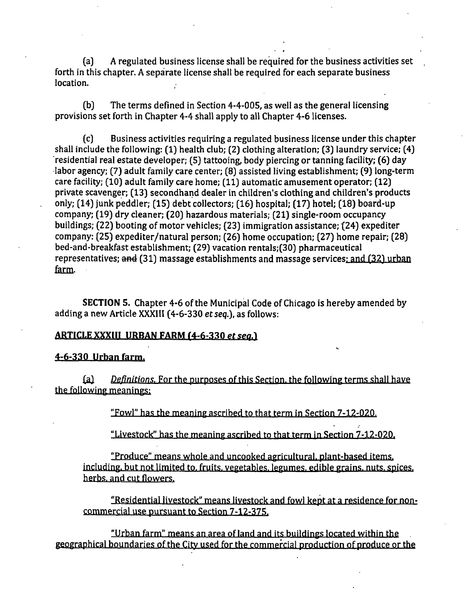(a) A regulated business license shall be required for the business activities set forth in this chapter. A separate license shall be required for each separate business location.

(b) The terms defined in Section 4-4-005, as well as the general licensing provisions set forth in Chapter 4-4 shall apply to all Chapter 4-6 licenses.

(c) Business activities requiring a regulated business license under this chapter shall include the following: (1) health club; (2) clothing alteration; (3) laundry service; (4) residential real estate developer; (5) tattooing, body piercing or tanning facility; (6) day labor agency; (7) adult family care center; (8) assisted living establishment; (9) long-term care facility; (10) adult family care home; (11) automatic amusement operator; (12) private scavenger; (13) secondhand dealer in children's clothing and children's products only; (14) junk peddler; (15) debt collectors; (16) hospital; (17) hotel; (18) board-up company; (19) dry cleaner; (20) hazardous materials; (21) single-room occupancy buildings; (22) booting of motor vehicles; (23) immigration assistance; (24) expediter company: (25) expediter/natural person; (26) home occupation; (27) home repair; (28) bed-and-breakfast establishment; (29) vacation rentals;(30) pharmaceutical representatives; and  $(31)$  massage establishments and massage services; and  $(32)$  urban farm.

SECTION 5. Chapter 4-6 of the Municipal Code of Chicago is hereby amended by adding a new Article XXXIII (4-6-330 et seq.), as follows:

#### *ARTICLE XXXIII URBAN FARM (4-6-330 etseq.}*

# **4-6-330 Urban farm.**

£a) Definitions. For the purposes of this Section, the following terms shall have the following meanings:

"Fowl" has the meaning ascribed to that term in Section 7-12-020.

"Livestock" has the meaning ascribed to that term in Section 7-12-020.

"Produce" means whole and uncooked agricultural, plant-based items, including, but not limited to. fruits, vegetables, legumes, edible grains, nuts, spices, herbs, and cut flowers.

"Residential livestock" means livestock and fowl kept at a residence for noncommercial use pursuant to Section 7-12-375.

"Urban farm" means an area of land and its buildings located within the . geographical boundaries of the City used for the commercial production of produce or the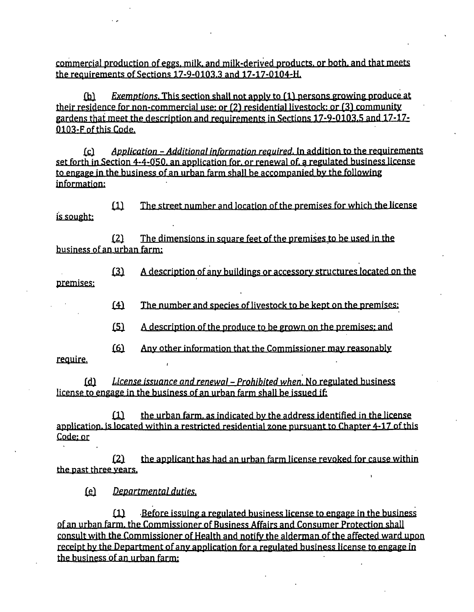**commercial production of eggs, milk, and milk-derived products, or both, and that meets the requirements of Sections 17-9-0103.3 and 17-17-0104-H.** 

**QsX Exemptions. This section shall not applv to fll persons growing produce at**  their residence for non-commercial use: or (2) residential livestock: or (3) community **gardens that meet the description and requirements in Sections 17-9-0103.5 and 17-17-** 0103-F of this Code.

**££) Application - Additional ip formation required. In addition to the reauirements set forth in Section 4-4-050. an application for, or renewal of. a regulated business license to engage in the business of an urban farm shall be accompanied bv the following information:** 

**£1} The street number and location of the premises for which the license is sought:** 

**£2) The dimensions in square feet of the premises to be used in the business of an urban farm:** 

**premiseg; £2) A description of any buildings or accessory structures located on the** 

**£^ The number and species of livestock to be kept on the premises:** 

**£5) A description of the produce tn be grown on the premises: and** 

**£6} Anv other information that the Commissioner mav reasonably** 

**require-**

**£di License issuance and renewal - Prohibited when. No regulated business license to engage in the business of an urban farm shall be issued if:** 

**£1} the urban farm, as indicated by the address identified in the license**  application, is located within a restricted residential zone pursuant to Chapter 4-17 of this **Code; or** 

**£2} the applicant has had an urban farm license revoked for cause within the past three vears.** 

*£g} Departmental duties.* 

**£JU Before issuing a regulated business license to engage in the business of an urban farm, the Commissioner of Business Affairs and Consumer Protection shall consult with the Commissioner of Health and notify the alderman of the affected ward upon**  receipt by the Department of any application for a regulated business license to engage in **the business of an urban farm:**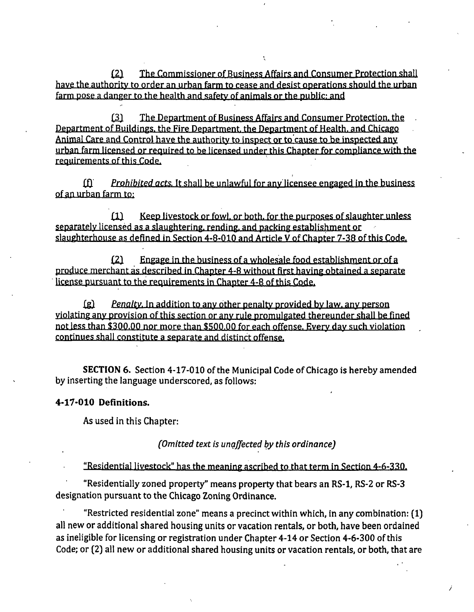£2) The Commissioner of Business Affairs and Consumer Protection shail have the authoritv to order an urban farm to cease and desist operations should the urban farm pose a danger to the health and safety of animals or the public: and

£3} The Department of Business Affairs and Consumer Protection, the Department of Buildings, the Fire Department, the Department of Health, and Chicago Animal Care and Control have the authority to inspect or to'cause to be inspected anv urban farm licensed or required to he licensed under this Chapter for compliance with the requirements of this Code.

 $f_1$  Prohibited acts. It shall be unlawful for any licensee engaged in the business of an urban farm to;

£1) Keep livestock or fowl, or both, for the purposes of slaughter unless separately licensed as a slaughtering, rending, and packing establishment or slaughterhouse as defined in Section 4-8-010 and Article V of Chapter 7-38 of this Code.

£2) Engage in the business of a wholesale food establishment or of a produce merchant as described in Chapter 4-8 without first having obtained a separate license pursuant to the requirements in Chapter 4-8 of this Code.

£g) Penalty. In addition to anv other penalty provided by law, any person yiolating any provision of this section or any rule promulgated thereunder shall be fined not less than \$300.00 nor more than \$500.00 for each offense. Every day such violation continues shall constitute a separate and distinct offense.

SECTION 6. Section 4-17-010 of the Municipal Code of Chicago is hereby amended by inserting the language underscored, as follows:

#### **4-17-010 Definitions.**

As used in this Chapter:

(Omitted text is unaffected by this ordinance)

"Residential livestock" has the meaning ascribed to that term in Section 4-6-330.

"Residentially zoned property" means property that bears an RS-1, RS-2 or RS-3 designation pursuant to the Chicago Zoning Ordinance.

"Restricted residential zone" means a precinct within which, in any combination: (1) all new or additional shared housing units or vacation rentals, or both, have been ordained as ineligible for licensing or registration under Chapter 4-14 or Section 4-6-300 of this Code; or (2) all new or additional shared housing units or vacation rentals, or both, that are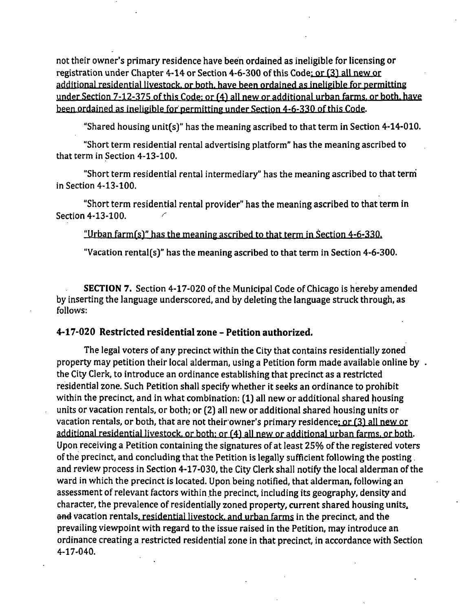not their owner's primary residence have been ordained as ineligible for licensing or registration under Chapter 4-14 or Section 4-6-300 of this Code; or (3) all new or additional residential livestock, or both, have been ordained as ineligible for permitting under Section 7-12-375 ofthis Code: or (4) all new or additional urban farms, or both, have been ordained as ineligible for permitting under Section 4-6-330 ofthis Code.

"Shared housing unit(s)" has the meaning ascribed to that term in Section 4-14-010.

"Short term residential rental advertising platform" has the meaning ascribed to that term in Section 4-13-100.

"Short term residential rental intermediary" has the meaning ascribed to that terni in Section 4-13-100.

"Short term residential rental provider" has the meaning ascribed to that term in Section 4-13-100.

"Urban farm(s)" has the meaning ascribed to that term in Section  $4-6-330$ .

"Vacation rental(s)" has the meaning ascribed to that term in Section 4-6-300.

SECTION 7. Section 4-17-020 of the Municipal Code of Chicago is hereby amended by inserting the language underscored, and by deleting the language struck through, as follows:

## **4-17-020 Restricted residential zone - Petition authorized.**

The legal voters of any precinct within the City that contains residentially zoned property may petition their local alderman, using a Petition form made available online by . the City Clerk, to introduce an ordinance establishing that precinct as a restricted residential zone. Such Petition shall specify whether it seeks an ordinance to prohibit within the precinct, and in what combination: (1) all new or additional shared housing units or vacation rentals, or both; or (2) all new or additional shared housing units or vacation rentals, or both, that are not their owner's primary residence: or (3) all new or additional residential livestock, or both: or (4) all new or additional urban farms, or both. Upon receiving a Petition containing the signatures of at least 25% of the registered voters of the precinct, and concluding that the Petition is legally sufficient following the posting. and review process in Section 4-17-030, the City Clerk shall notify the local alderman of the ward in which the precinct is located. Upon being notified, that alderman, following an assessment of relevant factors within the precinct, including its geography, density and character, the prevalence of residentially zoned property, current shared housing units^ and vacation rentals, residential livestock, and urban farms in the precinct, and the prevailing viewpoint with regard to the issue raised in the Petition, may introduce an ordinance creating a restricted residential zone in that precinct, in accordance with Section 4-17-040.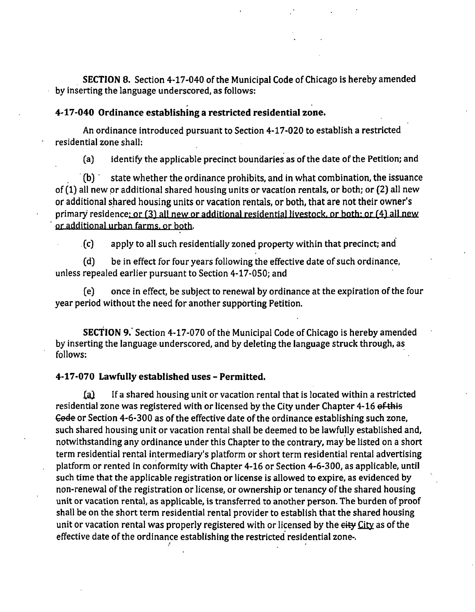SECTION 8. Section 4-17-040 of the Municipal Code of Chicago is hereby amended by inserting the language underscored, as follows:

## **4-17-040 Ordinance establishing a restricted residential zone.**

An ordinance introduced pursuant to Section 4-17-020 to establish a restricted residential zone shall:

(a) identify the applicable precinct boundaries as of the date of the Petition; and

(b) state whether the ordinance prohibits, and in what combination, the issuance of (1) all new or additional shared housing units or vacation rentals, or both; or (2) all new or additional shared housing units or vacation rentals, or both, that are not their owner's primary residence; or (3) all new or additional residential livestock, or both: or (4) all new or additional urban farms, or both.

(c) apply to all such residentially zoned property within that precinct; and

(d) be in effect for four years following the effective date of such ordinance, unless repealed eariier pursuant to Section 4-17-050; and

(e) once in effect, be subject to renewal by ordinance at the expiration ofthe four year period without the need for another supporting Petition.

SECTION 9. Section 4-17-070 of the Municipal Code of Chicago is hereby amended by inserting the language underscored, and by deleting the language struck through, as follows:

### **4-17-070 Lawfully established uses - Permitted.**

£a} If a shared housing unit or vacation rental that is located within a restricted residential zone was registered with or licensed by the City under Chapter 4-16 of this €ede or Section 4-6-300 as of the effective date of the ordinance establishing such zone, such shared housing unit or vacation rental shall be deemed to be lawfully established and, notwithstanding any ordinance under this Chapter to the contrary, may be listed on a short term residential rental intermediary's platform or short term residential rental advertising platform or rented in conformity with Chapter 4-16 or Section 4-6-300, as applicable, until such time that the applicable registration or license is allowed to expire, as evidenced by non-renewal of the registration or license, or ownership or tenancy of the shared housing unit or vacation rental, as applicable, is transferred to another person. The burden of proof shall be on the short term residential rental provider to establish that the shared housing unit or vacation rental was properly registered with or licensed by the eity City as of the effective date of the ordinance establishing the restricted residential zone-.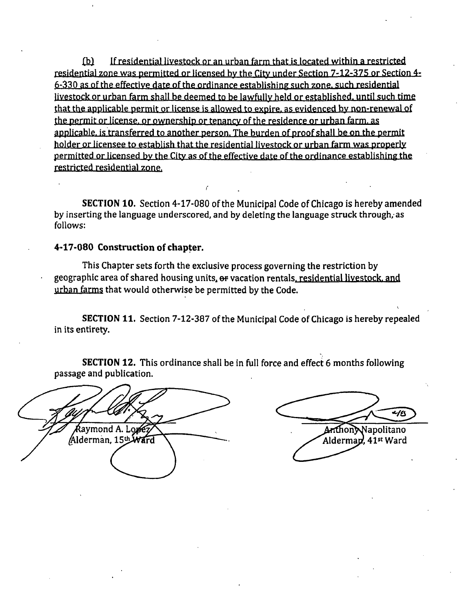£b} If residential livestock or an urban farm that is located within a restricted residential zone was permitted or licensed by the City under Section 7-12-375 or Section 4-  $6-330$  as of the effective date of the ordinance establishing such zone, such residential livestock or urban farm shall be deemed to be lawfully held or established, until such time that the applicable permit or license is allowed to expire, as evidenced by non-renewal of the permit or license, or ownership or tenancy of the residence or urban farm, as applicable, is transferred to another person. The burden of proof shall be on the permit holder or licensee to establish that the residential livestock or urban farm was properly permitted or licensed hy the Citv as of the effective date of the ordinance establishing the restricted residential zone.

SECTION 10. Section 4-17-080 of the Municipal Code of Chicago is hereby amended by inserting the language underscored, and by deleting the language struck through, as follows:

# **4-17-080 Construction of chapter.**

This Chapter sets forth the exclusive process governing the restriction by geographic area of shared housing units, ef vacation rentals, residential livestock, and urban farms that would otherwise be permitted by the Code.

SECTION 11. Section 7-12-387 of the Municipal Code of Chicago is hereby repealed in its entirety.

SECTION 12. This ordinance shall be in full force and effect 6 months following passage and publication.

โavmond A. Lor Alderman, 15th Ward

 $46$ AnthonyNapolitano Alderman, 41st Ward